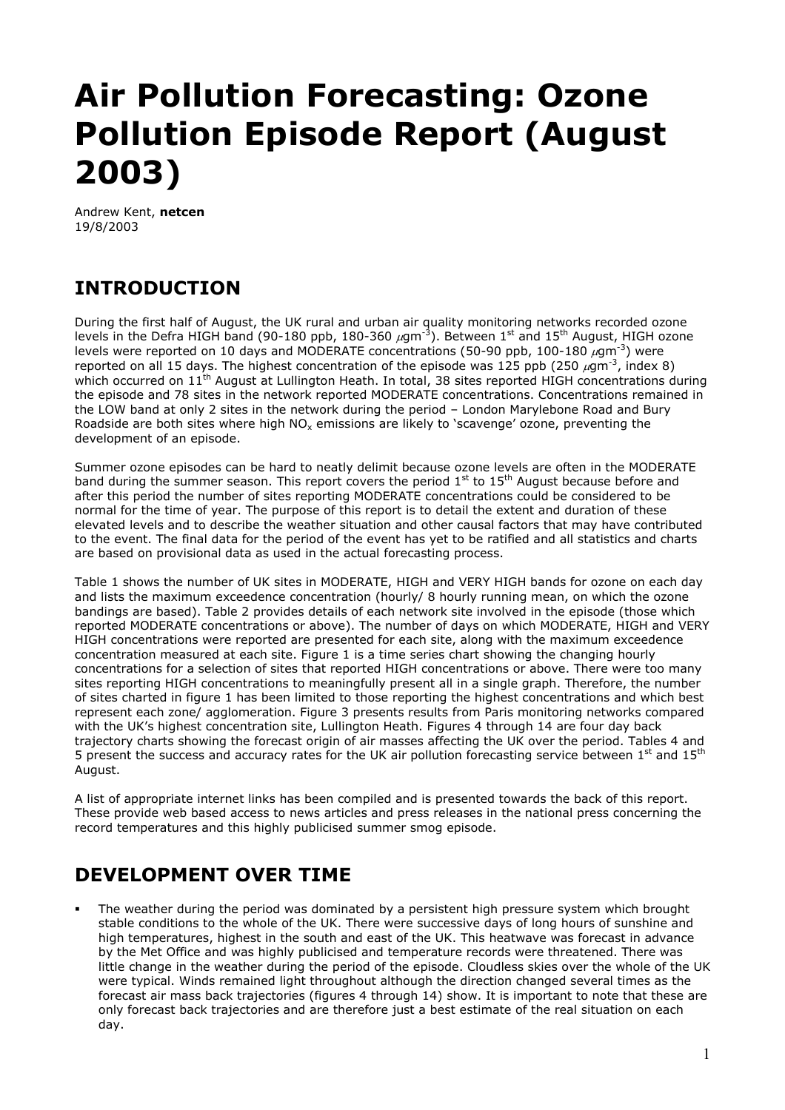# **Air Pollution Forecasting: Ozone Pollution Episode Report (August 2003)**

Andrew Kent, **netcen** 19/8/2003

## **INTRODUCTION**

During the first half of August, the UK rural and urban air quality monitoring networks recorded ozone levels in the Defra HIGH band (90-180 ppb, 180-360  $\mu$ gm<sup>-3</sup>). Between 1<sup>st</sup> and 15<sup>th</sup> August, HIGH ozone levels were reported on 10 days and MODERATE concentrations (50-90 ppb, 100-180  $\mu$ gm<sup>-3</sup>) were reported on all 15 days. The highest concentration of the episode was 125 ppb (250  $\mu$ gm<sup>-3</sup>, index 8) which occurred on 11<sup>th</sup> August at Lullington Heath. In total, 38 sites reported HIGH concentrations during the episode and 78 sites in the network reported MODERATE concentrations. Concentrations remained in the LOW band at only 2 sites in the network during the period – London Marylebone Road and Bury Roadside are both sites where high  $NO<sub>x</sub>$  emissions are likely to 'scavenge' ozone, preventing the development of an episode.

Summer ozone episodes can be hard to neatly delimit because ozone levels are often in the MODERATE band during the summer season. This report covers the period 1<sup>st</sup> to 15<sup>th</sup> August because before and after this period the number of sites reporting MODERATE concentrations could be considered to be normal for the time of year. The purpose of this report is to detail the extent and duration of these elevated levels and to describe the weather situation and other causal factors that may have contributed to the event. The final data for the period of the event has yet to be ratified and all statistics and charts are based on provisional data as used in the actual forecasting process.

Table 1 shows the number of UK sites in MODERATE, HIGH and VERY HIGH bands for ozone on each day and lists the maximum exceedence concentration (hourly/ 8 hourly running mean, on which the ozone bandings are based). Table 2 provides details of each network site involved in the episode (those which reported MODERATE concentrations or above). The number of days on which MODERATE, HIGH and VERY HIGH concentrations were reported are presented for each site, along with the maximum exceedence concentration measured at each site. Figure 1 is a time series chart showing the changing hourly concentrations for a selection of sites that reported HIGH concentrations or above. There were too many sites reporting HIGH concentrations to meaningfully present all in a single graph. Therefore, the number of sites charted in figure 1 has been limited to those reporting the highest concentrations and which best represent each zone/ agglomeration. Figure 3 presents results from Paris monitoring networks compared with the UK's highest concentration site, Lullington Heath. Figures 4 through 14 are four day back trajectory charts showing the forecast origin of air masses affecting the UK over the period. Tables 4 and 5 present the success and accuracy rates for the UK air pollution forecasting service between  $1^{st}$  and  $15^{th}$ August.

A list of appropriate internet links has been compiled and is presented towards the back of this report. These provide web based access to news articles and press releases in the national press concerning the record temperatures and this highly publicised summer smog episode.

## **DEVELOPMENT OVER TIME**

 The weather during the period was dominated by a persistent high pressure system which brought stable conditions to the whole of the UK. There were successive days of long hours of sunshine and high temperatures, highest in the south and east of the UK. This heatwave was forecast in advance by the Met Office and was highly publicised and temperature records were threatened. There was little change in the weather during the period of the episode. Cloudless skies over the whole of the UK were typical. Winds remained light throughout although the direction changed several times as the forecast air mass back trajectories (figures 4 through 14) show. It is important to note that these are only forecast back trajectories and are therefore just a best estimate of the real situation on each day.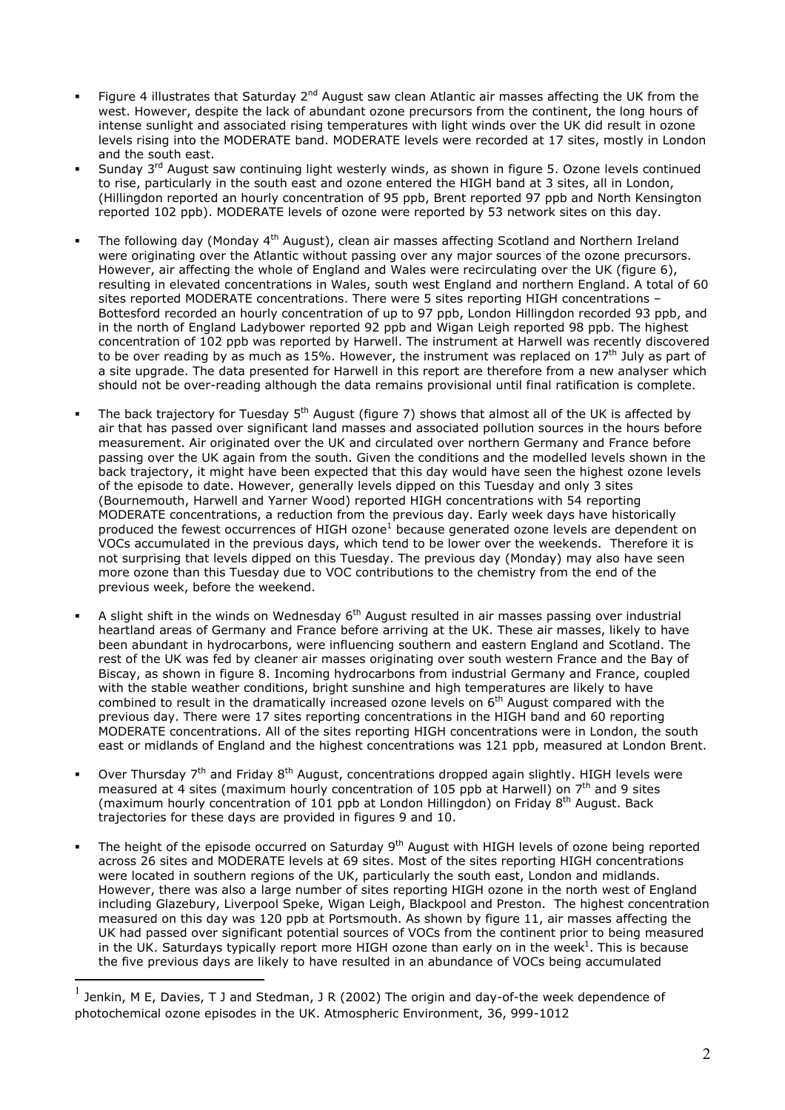- Figure 4 illustrates that Saturday 2<sup>nd</sup> August saw clean Atlantic air masses affecting the UK from the west. However, despite the lack of abundant ozone precursors from the continent, the long hours of intense sunlight and associated rising temperatures with light winds over the UK did result in ozone levels rising into the MODERATE band. MODERATE levels were recorded at 17 sites, mostly in London and the south east.
- Sunday  $3<sup>rd</sup>$  August saw continuing light westerly winds, as shown in figure 5. Ozone levels continued to rise, particularly in the south east and ozone entered the HIGH band at 3 sites, all in London, (Hillingdon reported an hourly concentration of 95 ppb, Brent reported 97 ppb and North Kensington reported 102 ppb). MODERATE levels of ozone were reported by 53 network sites on this day.
- The following day (Monday 4th August), clean air masses affecting Scotland and Northern Ireland were originating over the Atlantic without passing over any major sources of the ozone precursors. However, air affecting the whole of England and Wales were recirculating over the UK (figure 6), resulting in elevated concentrations in Wales, south west England and northern England. A total of 60 sites reported MODERATE concentrations. There were 5 sites reporting HIGH concentrations – Bottesford recorded an hourly concentration of up to 97 ppb, London Hillingdon recorded 93 ppb, and in the north of England Ladybower reported 92 ppb and Wigan Leigh reported 98 ppb. The highest concentration of 102 ppb was reported by Harwell. The instrument at Harwell was recently discovered to be over reading by as much as 15%. However, the instrument was replaced on 17<sup>th</sup> July as part of a site upgrade. The data presented for Harwell in this report are therefore from a new analyser which should not be over-reading although the data remains provisional until final ratification is complete.
- The back traiectory for Tuesday 5<sup>th</sup> August (figure 7) shows that almost all of the UK is affected by air that has passed over significant land masses and associated pollution sources in the hours before measurement. Air originated over the UK and circulated over northern Germany and France before passing over the UK again from the south. Given the conditions and the modelled levels shown in the back trajectory, it might have been expected that this day would have seen the highest ozone levels of the episode to date. However, generally levels dipped on this Tuesday and only 3 sites (Bournemouth, Harwell and Yarner Wood) reported HIGH concentrations with 54 reporting MODERATE concentrations, a reduction from the previous day. Early week days have historically producedthe fewest occurrences of HIGH ozone<sup>1</sup> because generated ozone levels are dependent on VOCs accumulated in the previous days, which tend to be lower over the weekends. Therefore it is not surprising that levels dipped on this Tuesday. The previous day (Monday) may also have seen more ozone than this Tuesday due to VOC contributions to the chemistry from the end of the previous week, before the weekend.
- A slight shift in the winds on Wednesday  $6<sup>th</sup>$  August resulted in air masses passing over industrial heartland areas of Germany and France before arriving at the UK. These air masses, likely to have been abundant in hydrocarbons, were influencing southern and eastern England and Scotland. The rest of the UK was fed by cleaner air masses originating over south western France and the Bay of Biscay, as shown in figure 8. Incoming hydrocarbons from industrial Germany and France, coupled with the stable weather conditions, bright sunshine and high temperatures are likely to have combined to result in the dramatically increased ozone levels on 6th August compared with the previous day. There were 17 sites reporting concentrations in the HIGH band and 60 reporting MODERATE concentrations. All of the sites reporting HIGH concentrations were in London, the south east or midlands of England and the highest concentrations was 121 ppb, measured at London Brent.
- Over Thursday  $7<sup>th</sup>$  and Friday 8<sup>th</sup> August, concentrations dropped again slightly. HIGH levels were measured at 4 sites (maximum hourly concentration of 105 ppb at Harwell) on 7th and 9 sites (maximum hourly concentration of 101 ppb at London Hillingdon) on Friday 8th August. Back trajectories for these days are provided in figures 9 and 10.
- The height of the episode occurred on Saturday 9<sup>th</sup> August with HIGH levels of ozone being reported across 26 sites and MODERATE levels at 69 sites. Most of the sites reporting HIGH concentrations were located in southern regions of the UK, particularly the south east, London and midlands. However, there was also a large number of sites reporting HIGH ozone in the north west of England including Glazebury, Liverpool Speke, Wigan Leigh, Blackpool and Preston. The highest concentration measured on this day was 120 ppb at Portsmouth. As shown by figure 11, air masses affecting the UK had passed over significant potential sources of VOCs from the continent prior to being measured in the UK. Saturdays typically report more HIGH ozone than early on in the week<sup>1</sup>. This is because the five previous days are likely to have resulted in an abundance of VOCs being accumulated

<span id="page-1-0"></span> $^{1}$  Jenkin, M E, Davies, T J and Stedman, J R (2002) The origin and day-of-the week dependence of photochemical ozone episodes in the UK. Atmospheric Environment, 36, 999-1012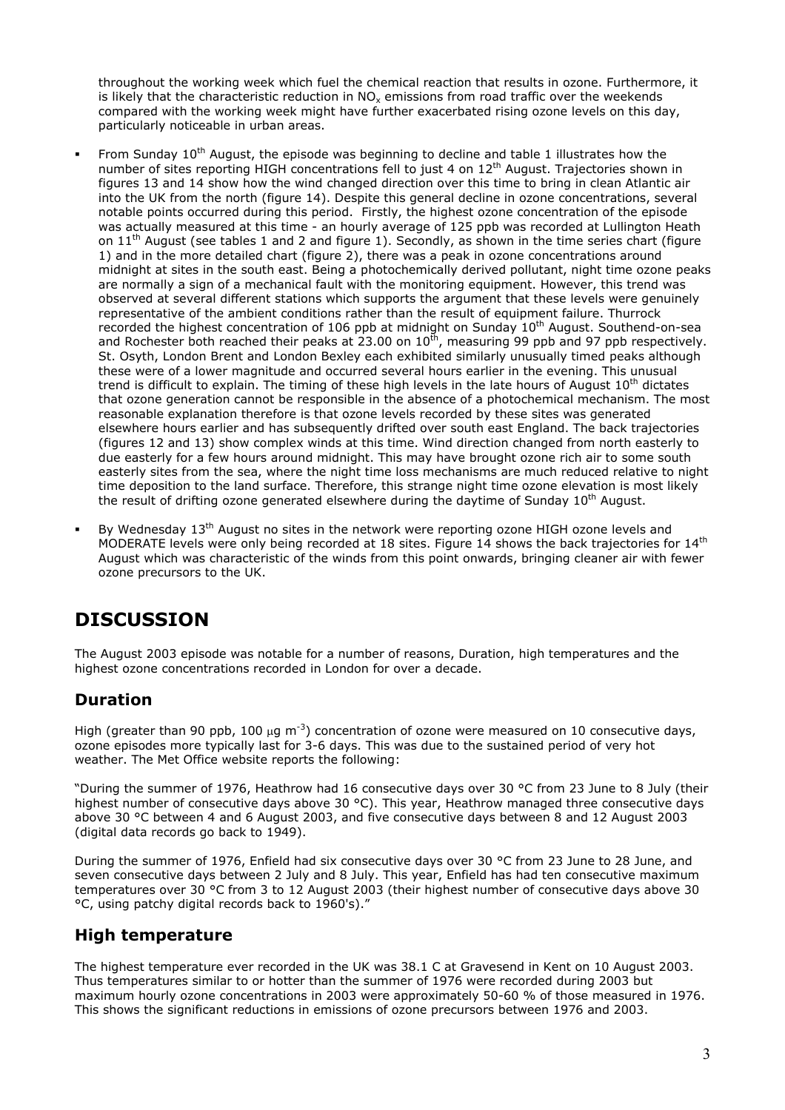throughout the working week which fuel the chemical reaction that results in ozone. Furthermore, it is likely that the characteristic reduction in NO<sub>x</sub> emissions from road traffic over the weekends compared with the working week might have further exacerbated rising ozone levels on this day, particularly noticeable in urban areas.

- From Sunday 10<sup>th</sup> August, the episode was beginning to decline and table 1 illustrates how the number of sites reporting HIGH concentrations fell to just 4 on 12<sup>th</sup> August. Trajectories shown in figures 13 and 14 show how the wind changed direction over this time to bring in clean Atlantic air into the UK from the north (figure 14). Despite this general decline in ozone concentrations, several notable points occurred during this period. Firstly, the highest ozone concentration of the episode was actually measured at this time - an hourly average of 125 ppb was recorded at Lullington Heath on  $11<sup>th</sup>$  August (see tables 1 and 2 and figure 1). Secondly, as shown in the time series chart (figure 1) and in the more detailed chart (figure 2), there was a peak in ozone concentrations around midnight at sites in the south east. Being a photochemically derived pollutant, night time ozone peaks are normally a sign of a mechanical fault with the monitoring equipment. However, this trend was observed at several different stations which supports the argument that these levels were genuinely representative of the ambient conditions rather than the result of equipment failure. Thurrock recorded the highest concentration of 106 ppb at midnight on Sunday 10<sup>th</sup> August. Southend-on-sea and Rochester both reached their peaks at 23.00 on  $10^{th}$ , measuring 99 ppb and 97 ppb respectively. St. Osyth, London Brent and London Bexley each exhibited similarly unusually timed peaks although these were of a lower magnitude and occurred several hours earlier in the evening. This unusual trend is difficult to explain. The timing of these high levels in the late hours of August  $10<sup>th</sup>$  dictates that ozone generation cannot be responsible in the absence of a photochemical mechanism. The most reasonable explanation therefore is that ozone levels recorded by these sites was generated elsewhere hours earlier and has subsequently drifted over south east England. The back trajectories (figures 12 and 13) show complex winds at this time. Wind direction changed from north easterly to due easterly for a few hours around midnight. This may have brought ozone rich air to some south easterly sites from the sea, where the night time loss mechanisms are much reduced relative to night time deposition to the land surface. Therefore, this strange night time ozone elevation is most likely the result of drifting ozone generated elsewhere during the daytime of Sunday 10<sup>th</sup> August.
- By Wednesday 13<sup>th</sup> August no sites in the network were reporting ozone HIGH ozone levels and MODERATE levels were only being recorded at 18 sites. Figure 14 shows the back trajectories for 14<sup>th</sup> August which was characteristic of the winds from this point onwards, bringing cleaner air with fewer ozone precursors to the UK.

## **DISCUSSION**

The August 2003 episode was notable for a number of reasons, Duration, high temperatures and the highest ozone concentrations recorded in London for over a decade.

#### **Duration**

High (greater than 90 ppb, 100  $\mu$ g m<sup>-3</sup>) concentration of ozone were measured on 10 consecutive days, ozone episodes more typically last for 3-6 days. This was due to the sustained period of very hot weather. The Met Office website reports the following:

"During the summer of 1976, Heathrow had 16 consecutive days over 30 °C from 23 June to 8 July (their highest number of consecutive days above 30 °C). This year, Heathrow managed three consecutive days above 30 °C between 4 and 6 August 2003, and five consecutive days between 8 and 12 August 2003 (digital data records go back to 1949).

During the summer of 1976, Enfield had six consecutive days over 30 °C from 23 June to 28 June, and seven consecutive days between 2 July and 8 July. This year, Enfield has had ten consecutive maximum temperatures over 30 °C from 3 to 12 August 2003 (their highest number of consecutive days above 30 °C, using patchy digital records back to 1960's)."

#### **High temperature**

The highest temperature ever recorded in the UK was 38.1 C at Gravesend in Kent on 10 August 2003. Thus temperatures similar to or hotter than the summer of 1976 were recorded during 2003 but maximum hourly ozone concentrations in 2003 were approximately 50-60 % of those measured in 1976. This shows the significant reductions in emissions of ozone precursors between 1976 and 2003.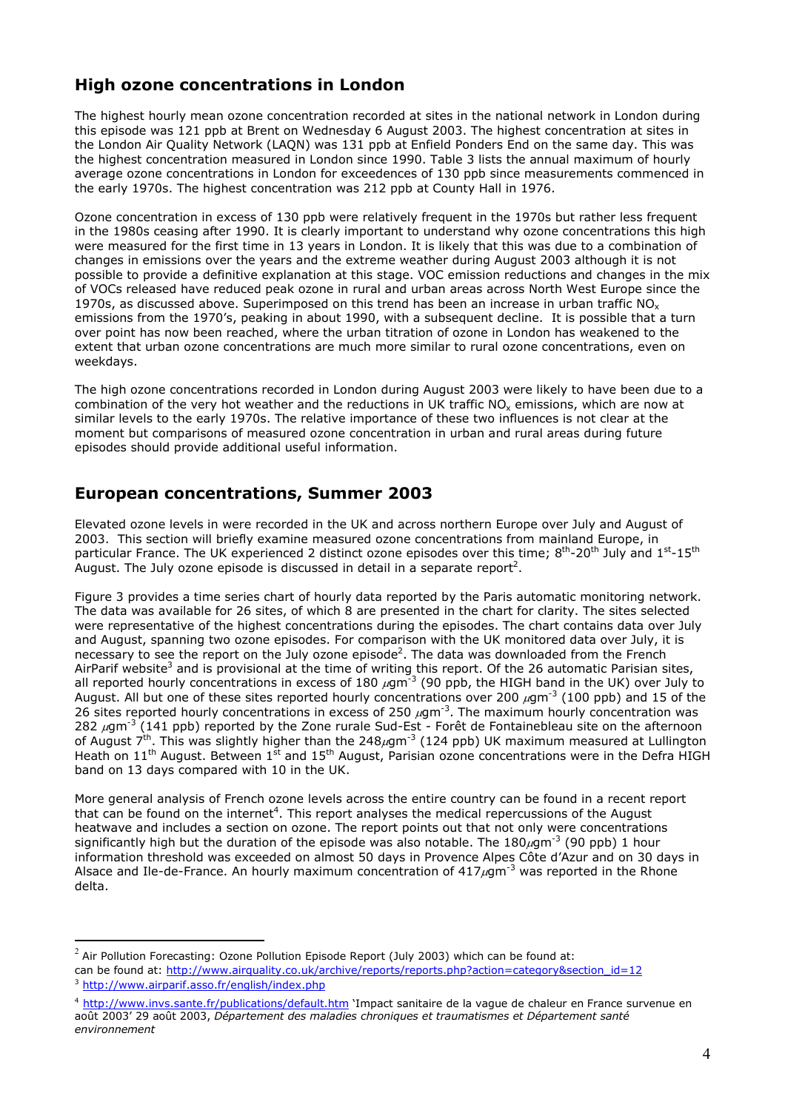#### **High ozone concentrations in London**

The highest hourly mean ozone concentration recorded at sites in the national network in London during this episode was 121 ppb at Brent on Wednesday 6 August 2003. The highest concentration at sites in the London Air Quality Network (LAQN) was 131 ppb at Enfield Ponders End on the same day. This was the highest concentration measured in London since 1990. Table 3 lists the annual maximum of hourly average ozone concentrations in London for exceedences of 130 ppb since measurements commenced in the early 1970s. The highest concentration was 212 ppb at County Hall in 1976.

Ozone concentration in excess of 130 ppb were relatively frequent in the 1970s but rather less frequent in the 1980s ceasing after 1990. It is clearly important to understand why ozone concentrations this high were measured for the first time in 13 years in London. It is likely that this was due to a combination of changes in emissions over the years and the extreme weather during August 2003 although it is not possible to provide a definitive explanation at this stage. VOC emission reductions and changes in the mix of VOCs released have reduced peak ozone in rural and urban areas across North West Europe since the 1970s, as discussed above. Superimposed on this trend has been an increase in urban traffic  $NO<sub>x</sub>$ emissions from the 1970's, peaking in about 1990, with a subsequent decline. It is possible that a turn over point has now been reached, where the urban titration of ozone in London has weakened to the extent that urban ozone concentrations are much more similar to rural ozone concentrations, even on weekdays.

The high ozone concentrations recorded in London during August 2003 were likely to have been due to a combination of the very hot weather and the reductions in UK traffic NO<sub>x</sub> emissions, which are now at similar levels to the early 1970s. The relative importance of these two influences is not clear at the moment but comparisons of measured ozone concentration in urban and rural areas during future episodes should provide additional useful information.

#### **European concentrations, Summer 2003**

Elevated ozone levels in were recorded in the UK and across northern Europe over July and August of 2003. This section will briefly examine measured ozone concentrations from mainland Europe, in particular France. The UK experienced 2 distinct ozone episodes over this time; 8<sup>th</sup>-20<sup>th</sup> July and 1<sup>st</sup>-15<sup>th</sup> August. The July ozone episode is discussed in detail in a separate report<sup>2</sup>.

Figure 3 provides a time series chart of hourly data reported by the Paris automatic monitoring network. The data was available for 26 sites, of which 8 are presented in the chart for clarity. The sites selected were representative of the highest concentrations during the episodes. The chart contains data over July and August, spanning two ozone episodes. For comparison with the UK monitored data over July, it is necessary to see the report on the July ozone episode<sup>2</sup>. The data was downloaded from the French AirParif website<sup>3</sup> and is provisional at the time of writing this report. Of the 26 automatic Parisian sites, all reported hourly concentrations in excess of 180  $\mu$ gm<sup>-3</sup> (90 ppb, the HIGH band in the UK) over July to August. All but one of these sites reported hourly concentrations over 200  $\mu$ gm<sup>-3</sup> (100 ppb) and 15 of the 26 sites reported hourly concentrations in excess of 250  $\mu$ gm<sup>-3</sup>. The maximum hourly concentration was 282  $\mu$ gm<sup>-3</sup> (141 ppb) reported by the Zone rurale Sud-Est - Forêt de Fontainebleau site on the afternoon of August 7<sup>th</sup>. This was slightly higher than the 248 $\mu$ gm<sup>-3</sup> (124 ppb) UK maximum measured at Lullington Heath on  $11<sup>th</sup>$  August. Between  $1<sup>st</sup>$  and  $15<sup>th</sup>$  August, Parisian ozone concentrations were in the Defra HIGH band on 13 days compared with 10 in the UK.

More general analysis of French ozone levels across the entire country can be found in a recent report that can be found on the internet<sup>[4](#page-3-2)</sup>. This report analyses the medical repercussions of the August heatwave and includes a section on ozone. The report points out that not only were concentrations significantly high but the duration of the episode was also notable. The  $180 \mu$ gm<sup>-3</sup> (90 ppb) 1 hour information threshold was exceeded on almost 50 days in Provence Alpes Côte d'Azur and on 30 days in Alsace and Ile-de-France. An hourly maximum concentration of  $417 \mu$ gm<sup>-3</sup> was reported in the Rhone delta.

 $2$  Air Pollution Forecasting: Ozone Pollution Episode Report (July 2003) which can be found at:

<span id="page-3-0"></span>can be found at: http://www.airquality.co.uk/archive/reports/reports.php?action=category&section\_id=12 <sup>3</sup> http://www.airparif.asso.fr/english/index.php

<span id="page-3-2"></span><span id="page-3-1"></span><sup>&</sup>lt;sup>4</sup> http://www.invs.sante.fr/publications/default.htm 'Impact sanitaire de la vague de chaleur en France survenue en août 2003' 29 août 2003, *Département des maladies chroniques et traumatismes et Département santé environnement*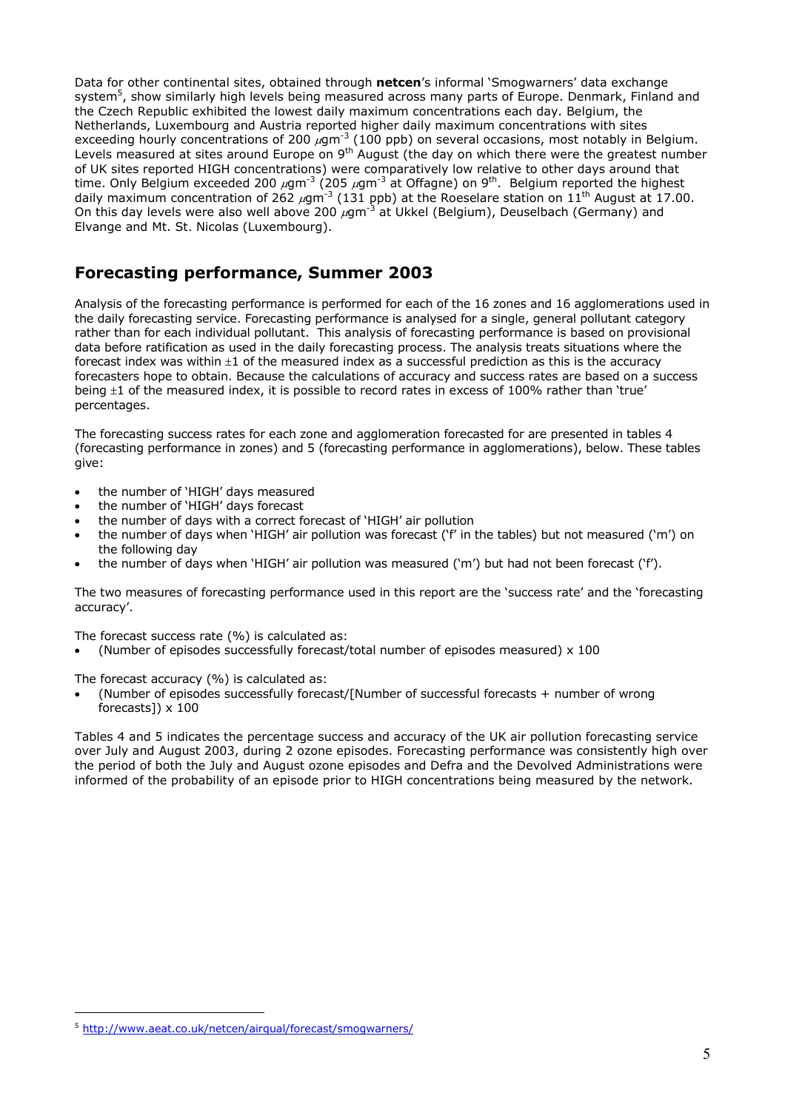Data for other continental sites, obtained through **netcen**'s informal 'Smogwarners' data exchange system<sup>5</sup>, show similarly high levels being measured across many parts of Europe. Denmark, Finland and the Czech Republic exhibited the lowest daily maximum concentrations each day. Belgium, the Netherlands, Luxembourg and Austria reported higher daily maximum concentrations with sites exceeding hourly concentrations of 200  $\mu$ gm<sup>-3</sup> (100 ppb) on several occasions, most notably in Belgium. Levels measured at sites around Europe on 9<sup>th</sup> August (the day on which there were the greatest number of UK sites reported HIGH concentrations) were comparatively low relative to other days around that time. Only Belgium exceeded 200  $\mu$ gm<sup>-3</sup> (205  $\mu$ gm<sup>-3</sup> at Offagne) on 9<sup>th</sup>. Belgium reported the highest daily maximum concentration of 262  $\mu$ gm<sup>-3</sup> (131 ppb) at the Roeselare station on 11<sup>th</sup> August at 17.00. On this day levels were also well above 200  $\mu$ gm<sup>-3</sup> at Ukkel (Belgium), Deuselbach (Germany) and Elvange and Mt. St. Nicolas (Luxembourg).

#### **Forecasting performance, Summer 2003**

Analysis of the forecasting performance is performed for each of the 16 zones and 16 agglomerations used in the daily forecasting service. Forecasting performance is analysed for a single, general pollutant category rather than for each individual pollutant. This analysis of forecasting performance is based on provisional data before ratification as used in the daily forecasting process. The analysis treats situations where the forecast index was within  $\pm 1$  of the measured index as a successful prediction as this is the accuracy forecasters hope to obtain. Because the calculations of accuracy and success rates are based on a success being  $\pm 1$  of the measured index, it is possible to record rates in excess of 100% rather than 'true' percentages.

The forecasting success rates for each zone and agglomeration forecasted for are presented in tables 4 (forecasting performance in zones) and 5 (forecasting performance in agglomerations), below. These tables give:

- the number of 'HIGH' days measured
- the number of 'HIGH' days forecast
- the number of days with a correct forecast of 'HIGH' air pollution
- the number of days when 'HIGH' air pollution was forecast ('f' in the tables) but not measured ('m') on the following day
- the number of days when 'HIGH' air pollution was measured ('m') but had not been forecast ('f').

The two measures of forecasting performance used in this report are the 'success rate' and the 'forecasting accuracy'.

The forecast success rate (%) is calculated as:

(Number of episodes successfully forecast/total number of episodes measured) x 100

The forecast accuracy (%) is calculated as:

 (Number of episodes successfully forecast/[Number of successful forecasts + number of wrong forecasts]) x 100

Tables 4 and 5 indicates the percentage success and accuracy of the UK air pollution forecasting service over July and August 2003, during 2 ozone episodes. Forecasting performance was consistently high over the period of both the July and August ozone episodes and Defra and the Devolved Administrations were informed of the probability of an episode prior to HIGH concentrations being measured by the network.

<span id="page-4-0"></span><sup>5</sup> http://www.aeat.co.uk/netcen/airqual/forecast/smogwarners/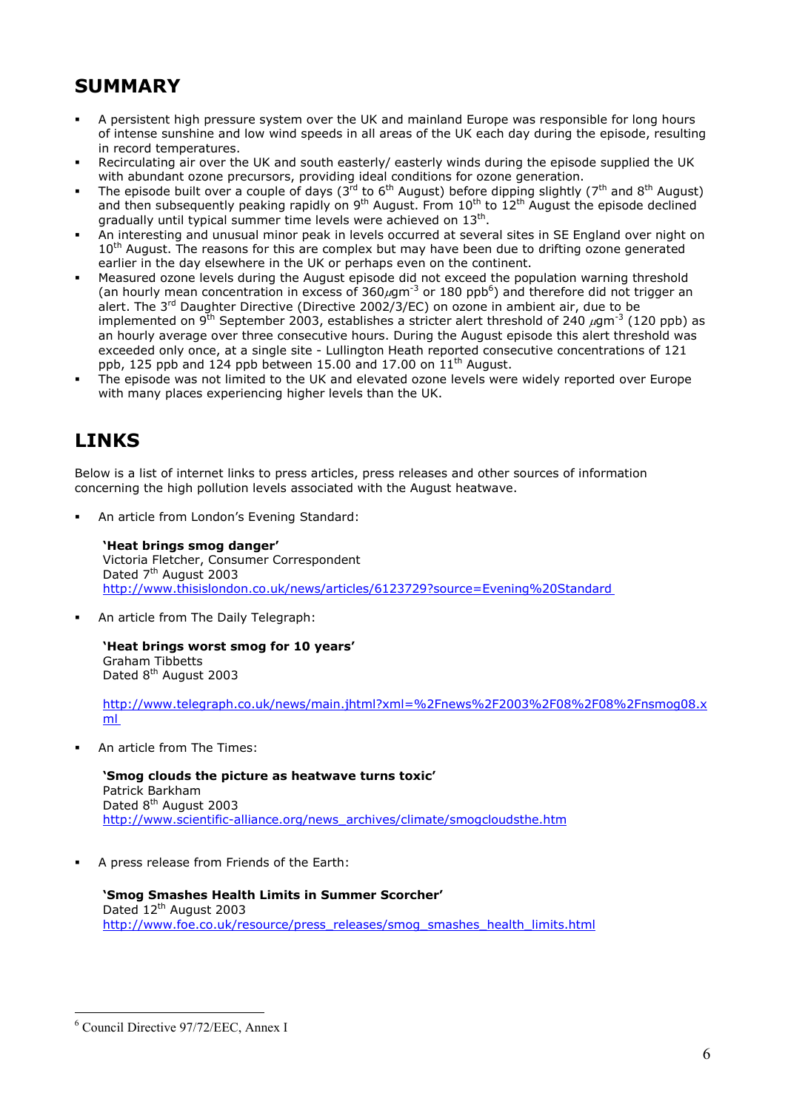## **SUMMARY**

- A persistent high pressure system over the UK and mainland Europe was responsible for long hours of intense sunshine and low wind speeds in all areas of the UK each day during the episode, resulting in record temperatures.
- Recirculating air over the UK and south easterly/ easterly winds during the episode supplied the UK with abundant ozone precursors, providing ideal conditions for ozone generation.
- The episode built over a couple of days (3<sup>rd</sup> to 6<sup>th</sup> August) before dipping slightly (7<sup>th</sup> and 8<sup>th</sup> August) and then subsequently peaking rapidly on 9<sup>th</sup> August. From  $10^{\text{th}}$  to  $12^{\text{th}}$  August the episode declined gradually until typical summer time levels were achieved on 13th.
- An interesting and unusual minor peak in levels occurred at several sites in SE England over night on 10<sup>th</sup> August. The reasons for this are complex but may have been due to drifting ozone generated earlier in the day elsewhere in the UK or perhaps even on the continent.
- Measured ozone levels during the August episode did not exceed the population warning threshold (an hourly mean concentration in excess of 3[6](#page-5-0)0 $\mu$ gm<sup>-3</sup> or 180 ppb<sup>6</sup>) and therefore did not trigger an alert. The 3<sup>rd</sup> Daughter Directive (Directive 2002/3/EC) on ozone in ambient air, due to be implemented on  $9^{th}$  September 2003, establishes a stricter alert threshold of 240  $\mu$ gm<sup>-3</sup> (120 ppb) as an hourly average over three consecutive hours. During the August episode this alert threshold was exceeded only once, at a single site - Lullington Heath reported consecutive concentrations of 121 ppb, 125 ppb and 124 ppb between 15.00 and 17.00 on  $11<sup>th</sup>$  August.
- The episode was not limited to the UK and elevated ozone levels were widely reported over Europe with many places experiencing higher levels than the UK.

## **LINKS**

Below is a list of internet links to press articles, press releases and other sources of information concerning the high pollution levels associated with the August heatwave.

An article from London's Evening Standard:

**'Heat brings smog danger'** Victoria Fletcher, Consumer Correspondent Dated 7<sup>th</sup> August 2003 <http://www.thisislondon.co.uk/news/articles/6123729?source=Evening%20Standard>

An article from The Daily Telegraph:

**'Heat brings worst smog for 10 years'** Graham Tibbetts Dated 8<sup>th</sup> [August 2003](http://www.telegraph.co.uk/news/main.jhtml?xml=%2Fnews%2F2003%2F08%2F08%2Fnsmog08.xml)

http://www.telegraph.co.uk/news/main.jhtml?xml=%2Fnews%2F2003%2F08%2F08%2Fnsmog08.x ml

An article from The Times:

**'Smog clouds the picture as heatwave turns toxic'** Patrick Barkham Dated 8<sup>th</sup> August 2003 http://www.scientific-alliance.org/news\_archives/climate/smogcloudsthe.htm

A press release from Friends of the Earth:

**'Smog Smashes Health Limits in Summer Scorcher'** Dated 12<sup>th</sup> August 2003 http://www.foe.co.uk/resource/press\_releases/smog\_smashes\_health\_limits.html

<span id="page-5-0"></span><sup>6</sup> Council Directive 97/72/EEC, Annex I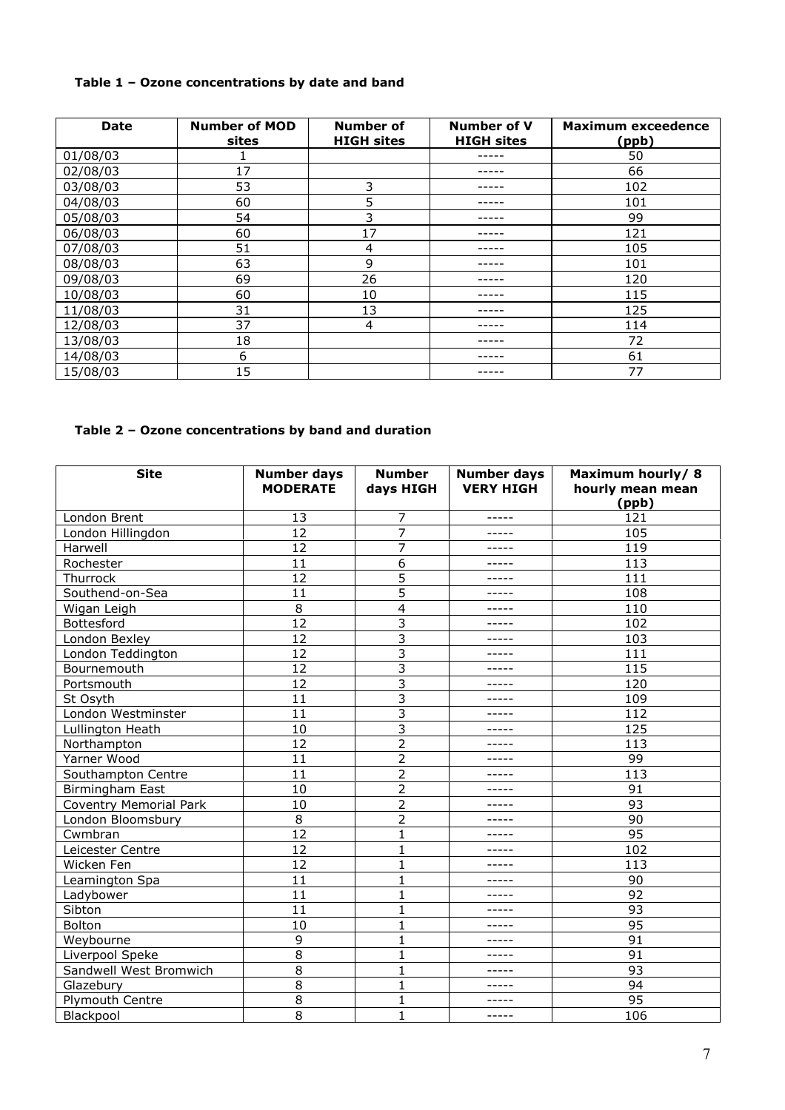#### **Table 1 – Ozone concentrations by date and band**

| <b>Date</b> | <b>Number of MOD</b><br>sites | <b>Number of</b><br><b>HIGH sites</b> | <b>Number of V</b><br><b>HIGH sites</b> | <b>Maximum exceedence</b><br>(ppb) |
|-------------|-------------------------------|---------------------------------------|-----------------------------------------|------------------------------------|
| 01/08/03    |                               |                                       |                                         | 50                                 |
| 02/08/03    | 17                            |                                       |                                         | 66                                 |
| 03/08/03    | 53                            | 3                                     |                                         | 102                                |
| 04/08/03    | 60                            | 5                                     |                                         | 101                                |
| 05/08/03    | 54                            | 3                                     |                                         | 99                                 |
| 06/08/03    | 60                            | 17                                    |                                         | 121                                |
| 07/08/03    | 51                            | 4                                     |                                         | 105                                |
| 08/08/03    | 63                            | 9                                     |                                         | 101                                |
| 09/08/03    | 69                            | 26                                    |                                         | 120                                |
| 10/08/03    | 60                            | 10                                    |                                         | 115                                |
| 11/08/03    | 31                            | 13                                    |                                         | 125                                |
| 12/08/03    | 37                            | 4                                     |                                         | 114                                |
| 13/08/03    | 18                            |                                       |                                         | 72                                 |
| 14/08/03    | 6                             |                                       |                                         | 61                                 |
| 15/08/03    | 15                            |                                       |                                         | 77                                 |

#### **Table 2 – Ozone concentrations by band and duration**

| <b>Site</b>                   | <b>Number days</b><br><b>MODERATE</b> | <b>Number</b><br>days HIGH | <b>Number days</b><br><b>VERY HIGH</b> | Maximum hourly/8<br>hourly mean mean<br>(ppb) |
|-------------------------------|---------------------------------------|----------------------------|----------------------------------------|-----------------------------------------------|
| London Brent                  | 13                                    | 7                          | -----                                  | 121                                           |
| London Hillingdon             | 12                                    | $\overline{7}$             | -----                                  | 105                                           |
| Harwell                       | 12                                    | $\overline{7}$             | -----                                  | 119                                           |
| Rochester                     | 11                                    | 6                          | -----                                  | 113                                           |
| Thurrock                      | 12                                    | 5                          | -----                                  | 111                                           |
| Southend-on-Sea               | 11                                    | 5                          | -----                                  | 108                                           |
| Wigan Leigh                   | 8                                     | $\overline{4}$             | -----                                  | 110                                           |
| Bottesford                    | $\overline{12}$                       | 3                          | -----                                  | 102                                           |
| London Bexley                 | 12                                    | 3                          | -----                                  | 103                                           |
| London Teddington             | 12                                    | 3                          | -----                                  | 111                                           |
| Bournemouth                   | 12                                    | 3                          | -----                                  | 115                                           |
| Portsmouth                    | 12                                    | 3                          | -----                                  | 120                                           |
| St Osyth                      | 11                                    | 3                          | -----                                  | 109                                           |
| London Westminster            | 11                                    | 3                          | -----                                  | 112                                           |
| Lullington Heath              | 10                                    | 3                          | -----                                  | 125                                           |
| Northampton                   | 12                                    | $\overline{2}$             | -----                                  | 113                                           |
| Yarner Wood                   | 11                                    | $\overline{2}$             | -----                                  | 99                                            |
| Southampton Centre            | 11                                    | $\overline{2}$             | -----                                  | 113                                           |
| Birmingham East               | 10                                    | $\overline{2}$             | -----                                  | 91                                            |
| <b>Coventry Memorial Park</b> | 10                                    | $\overline{2}$             |                                        | 93                                            |
| London Bloomsbury             | 8                                     | $\overline{2}$             | -----                                  | 90                                            |
| Cwmbran                       | 12                                    | $\mathbf{1}$               | -----                                  | 95                                            |
| Leicester Centre              | 12                                    | 1                          |                                        | 102                                           |
| Wicken Fen                    | 12                                    | 1                          | -----                                  | 113                                           |
| Leamington Spa                | 11                                    | $\mathbf{1}$               | -----                                  | 90                                            |
| Ladybower                     | 11                                    | $\mathbf{1}$               | -----                                  | 92                                            |
| Sibton                        | 11                                    | $\mathbf{1}$               | -----                                  | 93                                            |
| Bolton                        | 10                                    | $\mathbf{1}$               | -----                                  | 95                                            |
| Weybourne                     | 9                                     | $\mathbf{1}$               | -----                                  | 91                                            |
| Liverpool Speke               | 8                                     | $\mathbf{1}$               | -----                                  | 91                                            |
| Sandwell West Bromwich        | 8                                     | $\mathbf{1}$               | -----                                  | 93                                            |
| Glazebury                     | 8                                     | 1                          | -----                                  | 94                                            |
| Plymouth Centre               | 8                                     | 1                          | -----                                  | 95                                            |
| Blackpool                     | 8                                     | $\mathbf{1}$               | -----                                  | 106                                           |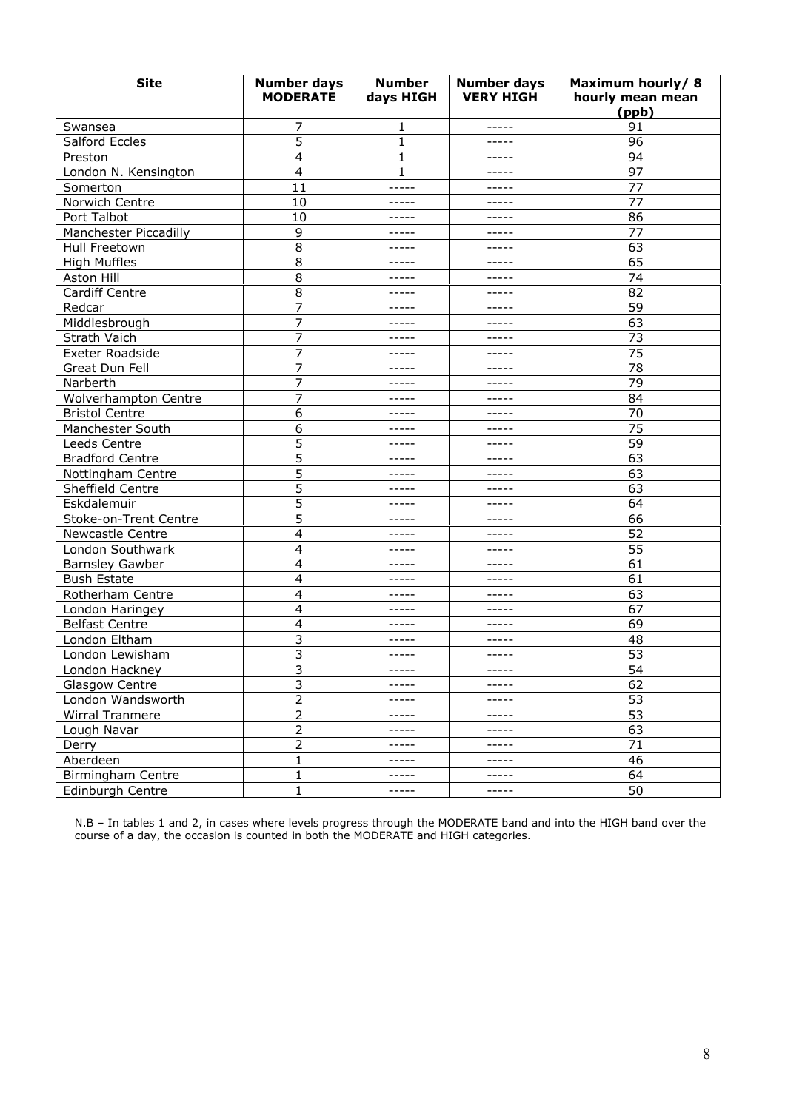| <b>Site</b>            | <b>Number days</b><br><b>MODERATE</b> | <b>Number</b><br>days HIGH | <b>Number days</b><br><b>VERY HIGH</b> | Maximum hourly/8<br>hourly mean mean<br>(ppb) |
|------------------------|---------------------------------------|----------------------------|----------------------------------------|-----------------------------------------------|
| Swansea                | 7                                     | 1                          | -----                                  | 91                                            |
| Salford Eccles         | 5                                     | $\mathbf{1}$               | -----                                  | 96                                            |
| Preston                | 4                                     | 1                          | -----                                  | 94                                            |
| London N. Kensington   | 4                                     | 1                          | -----                                  | 97                                            |
| Somerton               | 11                                    | -----                      | -----                                  | 77                                            |
| Norwich Centre         | 10                                    | -----                      | -----                                  | 77                                            |
| Port Talbot            | 10                                    | -----                      | -----                                  | 86                                            |
| Manchester Piccadilly  | 9                                     | -----                      | -----                                  | 77                                            |
| Hull Freetown          | 8                                     | -----                      | -----                                  | 63                                            |
| <b>High Muffles</b>    | 8                                     | -----                      | -----                                  | 65                                            |
| Aston Hill             | 8                                     | -----                      | -----                                  | 74                                            |
| Cardiff Centre         | 8                                     | -----                      | -----                                  | 82                                            |
| Redcar                 | 7                                     | -----                      | -----                                  | 59                                            |
| Middlesbrough          | 7                                     | -----                      | -----                                  | 63                                            |
| Strath Vaich           | 7                                     | -----                      | -----                                  | 73                                            |
| <b>Exeter Roadside</b> | 7                                     | -----                      | -----                                  | 75                                            |
| Great Dun Fell         | 7                                     | -----                      | -----                                  | 78                                            |
| Narberth               | 7                                     | -----                      | -----                                  | 79                                            |
| Wolverhampton Centre   | 7                                     | -----                      | -----                                  | 84                                            |
| <b>Bristol Centre</b>  | 6                                     | -----                      | -----                                  | 70                                            |
| Manchester South       | 6                                     | -----                      | -----                                  | 75                                            |
| Leeds Centre           | 5                                     | -----                      | -----                                  | 59                                            |
| <b>Bradford Centre</b> | 5                                     | -----                      | -----                                  | 63                                            |
| Nottingham Centre      | 5                                     | -----                      | -----                                  | 63                                            |
| Sheffield Centre       | 5                                     | -----                      | -----                                  | 63                                            |
| Eskdalemuir            | 5                                     | -----                      | -----                                  | 64                                            |
| Stoke-on-Trent Centre  | 5                                     | -----                      | -----                                  | 66                                            |
| Newcastle Centre       | 4                                     | -----                      | -----                                  | 52                                            |
| London Southwark       | 4                                     | -----                      | -----                                  | 55                                            |
| <b>Barnsley Gawber</b> | 4                                     | -----                      | -----                                  | 61                                            |
| <b>Bush Estate</b>     | 4                                     | -----                      | -----                                  | 61                                            |
| Rotherham Centre       | 4                                     | -----                      | -----                                  | 63                                            |
| London Haringey        | 4                                     | -----                      | -----                                  | 67                                            |
| <b>Belfast Centre</b>  | 4                                     | -----                      | -----                                  | 69                                            |
| London Eltham          | 3                                     | -----                      | -----                                  | 48                                            |
| London Lewisham        | 3                                     | $- - - - -$                | -----                                  | 53                                            |
| London Hackney         | 3                                     | -----                      | -----                                  | 54                                            |
| Glasgow Centre         | $\overline{3}$                        | -----                      | -----                                  | 62                                            |
| London Wandsworth      | 2                                     | -----                      | -----                                  | 53                                            |
| Wirral Tranmere        | $\overline{2}$                        | -----                      | -----                                  | 53                                            |
| Lough Navar            | 2                                     | -----                      | -----                                  | 63                                            |
| Derry                  | $\overline{c}$                        | -----                      | -----                                  | 71                                            |
| Aberdeen               | $\mathbf 1$                           | -----                      | -----                                  | 46                                            |
| Birmingham Centre      | 1                                     | -----                      | -----                                  | 64                                            |
| Edinburgh Centre       | $\mathbf{1}$                          | -----                      | -----                                  | 50                                            |

N.B – In tables 1 and 2, in cases where levels progress through the MODERATE band and into the HIGH band over the course of a day, the occasion is counted in both the MODERATE and HIGH categories.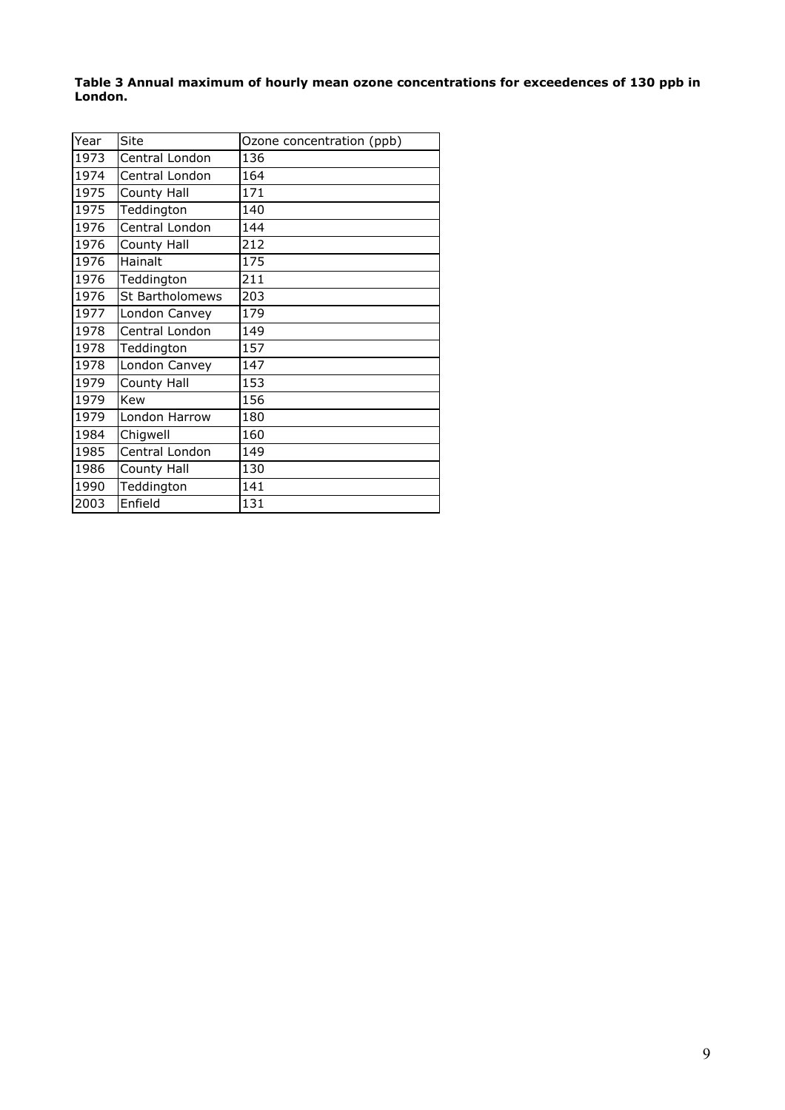**Table 3 Annual maximum of hourly mean ozone concentrations for exceedences of 130 ppb in London.**

| Year | Site            | Ozone concentration (ppb) |
|------|-----------------|---------------------------|
| 1973 | Central London  | 136                       |
| 1974 | Central London  | 164                       |
| 1975 | County Hall     | 171                       |
| 1975 | Teddington      | 140                       |
| 1976 | Central London  | 144                       |
| 1976 | County Hall     | 212                       |
| 1976 | Hainalt         | 175                       |
| 1976 | Teddington      | 211                       |
| 1976 | St Bartholomews | 203                       |
| 1977 | London Canvey   | 179                       |
| 1978 | Central London  | 149                       |
| 1978 | Teddington      | 157                       |
| 1978 | London Canvey   | 147                       |
| 1979 | County Hall     | 153                       |
| 1979 | Kew             | 156                       |
| 1979 | London Harrow   | 180                       |
| 1984 | Chigwell        | 160                       |
| 1985 | Central London  | 149                       |
| 1986 | County Hall     | 130                       |
| 1990 | Teddington      | 141                       |
| 2003 | Enfield         | 131                       |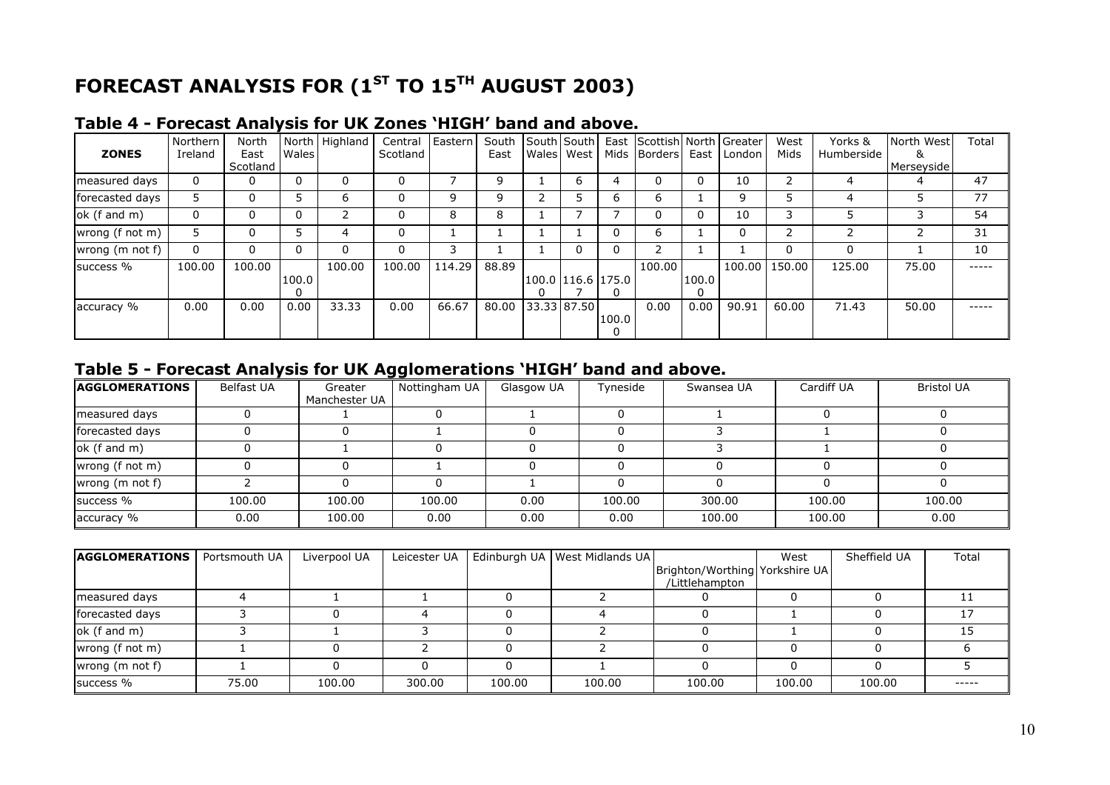## **FORECAST ANALYSIS FOR (1ST TO 15TH AUGUST 2003)**

| <b>ZONES</b>    | Northern<br>Ireland | North<br>East<br>Scotland | Wales      | North   Highland | Central<br>Scotland | Eastern | South South South<br>East |                   | Wales   West |              | East Scottish North Greater<br>Mids Borders East |       | London | West<br>Mids | Yorks &<br>Humberside | North West<br>&<br>Merseyside | Total |
|-----------------|---------------------|---------------------------|------------|------------------|---------------------|---------|---------------------------|-------------------|--------------|--------------|--------------------------------------------------|-------|--------|--------------|-----------------------|-------------------------------|-------|
| measured days   | 0                   | 0                         |            | $\Omega$         | 0                   |         | 9                         |                   | 6            | 4            |                                                  |       | 10     |              | 4                     | 4                             | 47    |
| forecasted days |                     | 0                         |            | ь                | 0                   | 9       | 9                         |                   |              | b            | h.                                               |       | 9      |              |                       |                               | 77    |
| ok (f and m)    | 0                   | 0                         |            |                  | 0                   | 8       | 8                         |                   |              |              |                                                  |       | 10     |              |                       |                               | 54    |
| wrong (f not m) |                     | 0                         |            | 4                | 0                   |         |                           |                   |              |              | 6                                                |       | 0      |              |                       |                               | 31    |
| wrong (m not f) | $\mathbf{0}$        | 0                         |            | $\Omega$         | 0                   |         |                           |                   |              |              |                                                  |       |        | 0            | 0                     |                               | 10    |
| success %       | 100.00              | 100.00                    | 100.0<br>0 | 100.00           | 100.00              | 114.29  | 88.89                     | 100.0 116.6 175.0 |              | $\mathbf{U}$ | 100.00                                           | 100.0 | 100.00 | 150.00       | 125.00                | 75.00                         |       |
| accuracy %      | 0.00                | 0.00                      | 0.00       | 33.33            | 0.00                | 66.67   | 80.00 33.33 87.50         |                   |              | 100.0        | 0.00                                             | 0.00  | 90.91  | 60.00        | 71.43                 | 50.00                         | ----- |

#### **Table 4 - Forecast Analysis for UK Zones 'HIGH' band and above.**

#### **Table 5 - Forecast Analysis for UK Agglomerations 'HIGH' band and above.**

| <b>AGGLOMERATIONS</b> | Belfast UA | Greater<br>Manchester UA | Nottingham UA | Glasgow UA | Tyneside | Swansea UA | Cardiff UA | <b>Bristol UA</b> |
|-----------------------|------------|--------------------------|---------------|------------|----------|------------|------------|-------------------|
| measured days         |            |                          |               |            |          |            |            |                   |
| forecasted days       |            |                          |               |            |          |            |            |                   |
| ok (f and m)          |            |                          |               |            |          |            |            |                   |
| wrong (f not m)       |            |                          |               |            |          |            |            |                   |
| wrong (m not f)       |            |                          |               |            |          |            |            |                   |
| success %             | 100.00     | 100.00                   | 100.00        | 0.00       | 100.00   | 300.00     | 100.00     | 100.00            |
| accuracy %            | 0.00       | 100.00                   | 0.00          | 0.00       | 0.00     | 100.00     | 100.00     | 0.00              |

| <b>AGGLOMERATIONS</b> | Portsmouth UA | Liverpool UA | Leicester UA |        | Edinburgh UA   West Midlands UA |                                                   | West   | Sheffield UA | Total |
|-----------------------|---------------|--------------|--------------|--------|---------------------------------|---------------------------------------------------|--------|--------------|-------|
|                       |               |              |              |        |                                 | Brighton/Worthing Yorkshire UA <br>/Littlehampton |        |              |       |
| measured days         |               |              |              |        |                                 |                                                   |        |              |       |
| forecasted days       |               |              |              |        |                                 |                                                   |        |              |       |
| ok (f and m)          |               |              |              |        |                                 |                                                   |        |              |       |
| wrong (f not m)       |               |              |              |        |                                 |                                                   |        |              |       |
| wrong (m not f)       |               |              |              |        |                                 |                                                   |        |              |       |
| success %             | 75.00         | 100.00       | 300.00       | 100.00 | 100.00                          | 100.00                                            | 100.00 | 100.00       | ----- |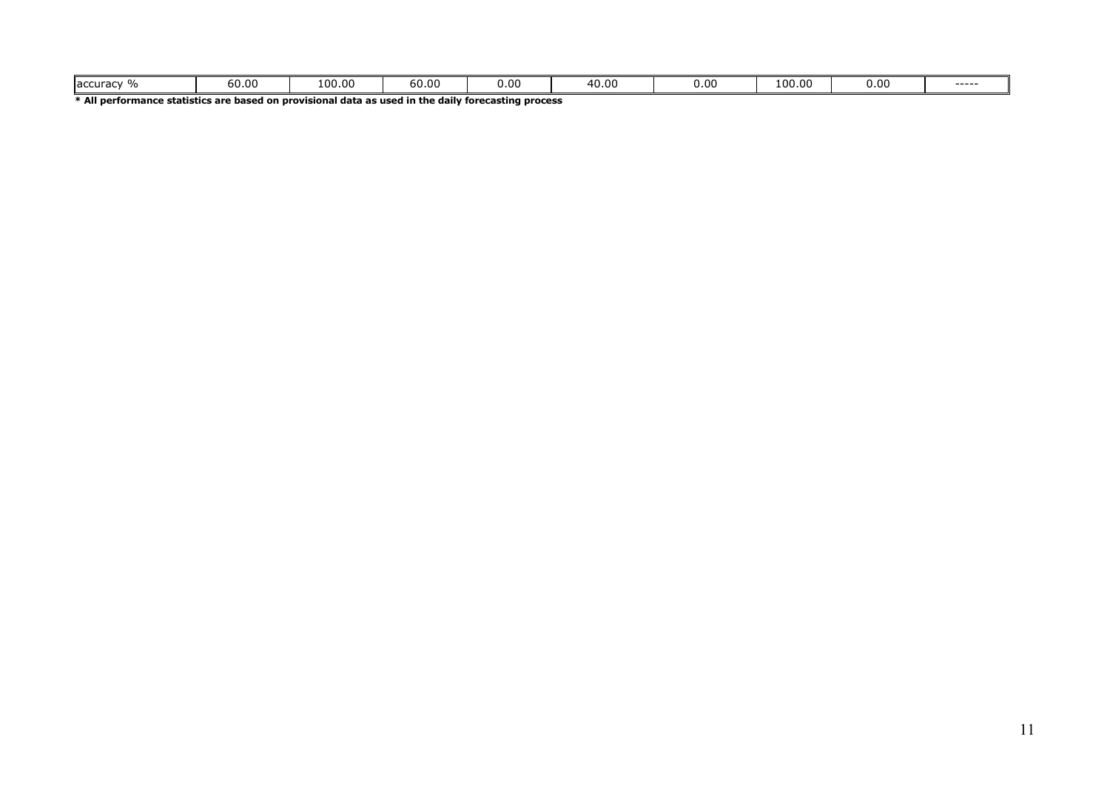| $\sim$ $\mu$<br>accura<br>u auv<br>. | 60.00 | 100.00 | 60.00 | ∪.0∩ | . 40.ບ. | $\sim$<br>υ.υ | LOO.OO | 0.00 | ----- |
|--------------------------------------|-------|--------|-------|------|---------|---------------|--------|------|-------|
|--------------------------------------|-------|--------|-------|------|---------|---------------|--------|------|-------|

**\* All performance statistics are based on provisional data as used in the daily forecasting process**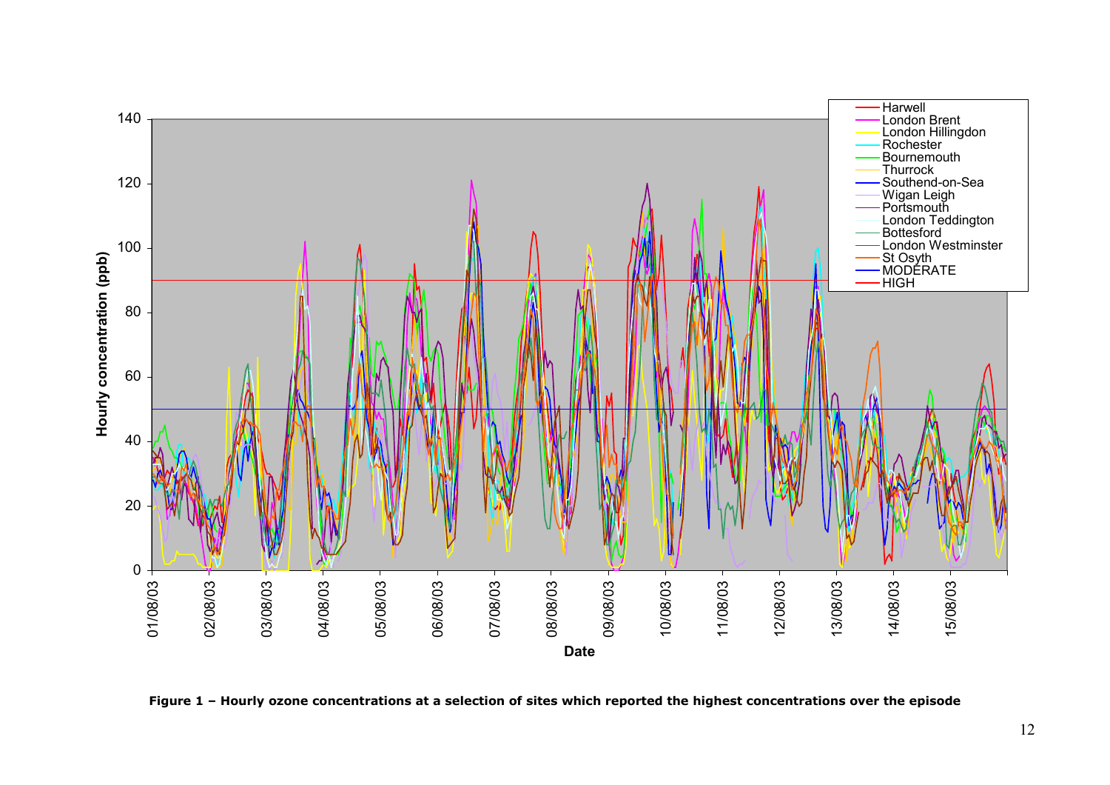

**Figure 1 – Hourly ozone concentrations at a selection of sites which reported the highest concentrations over the episode**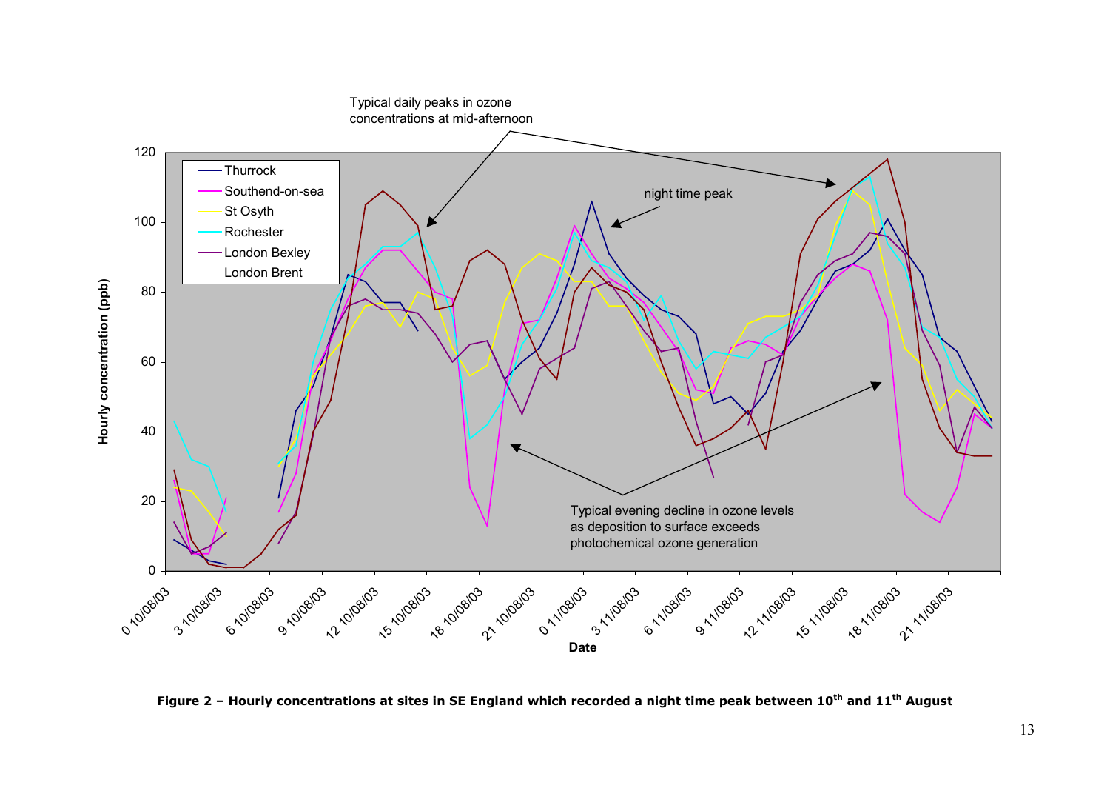

**Figure 2 – Hourly concentrations at sites in SE England which recorded a night time peak between 10th and 11th August**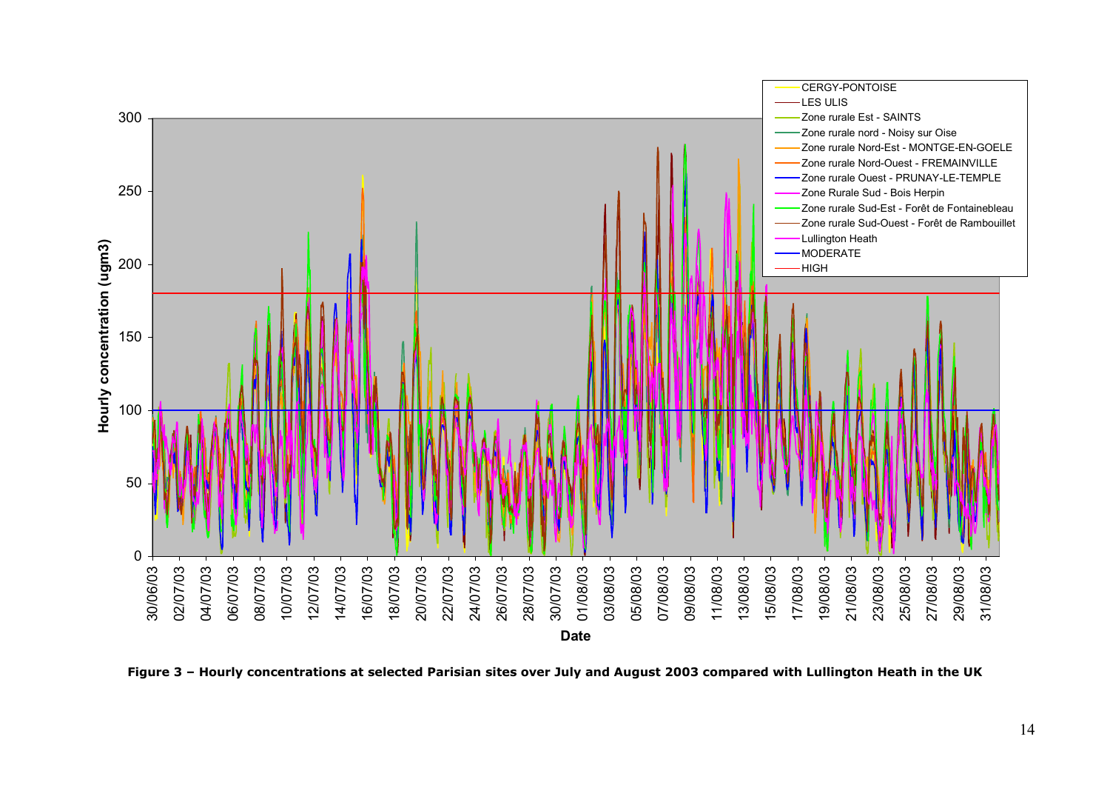

**Figure 3 – Hourly concentrations at selected Parisian sites over July and August 2003 compared with Lullington Heath in the UK**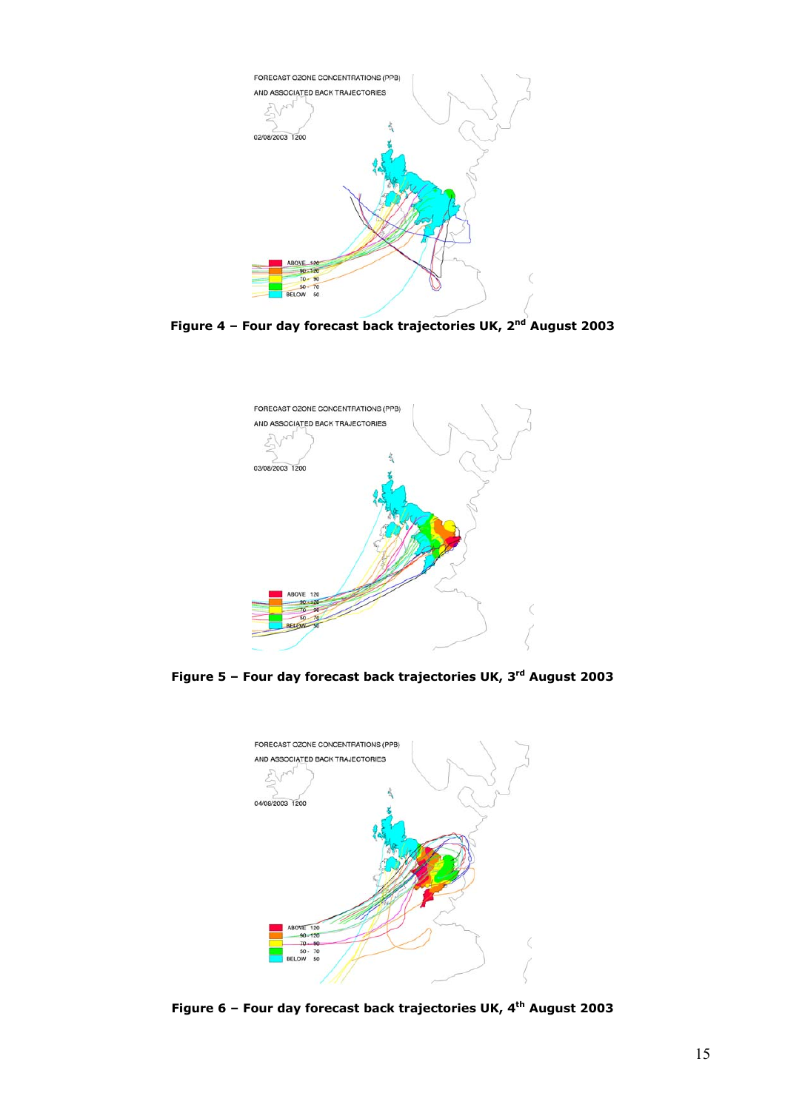

**Figure 4 – Four day forecast back trajectories UK, 2nd August 2003**



**Figure 5 – Four day forecast back trajectories UK, 3rd August 2003**



Figure 6 - Four day forecast back trajectories UK, 4<sup>th</sup> August 2003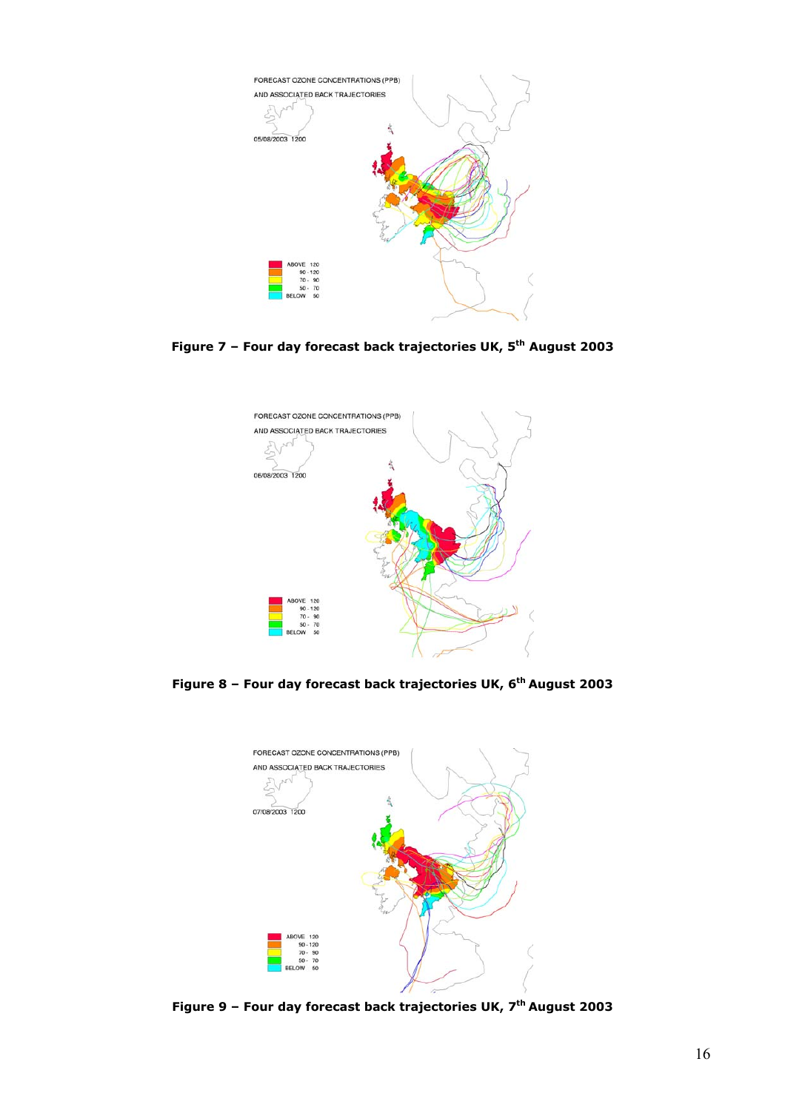

**Figure 7 – Four day forecast back trajectories UK, 5th August 2003**



**Figure 8 – Four day forecast back trajectories UK, 6th August 2003**



**Figure 9 – Four day forecast back trajectories UK, 7th August 2003**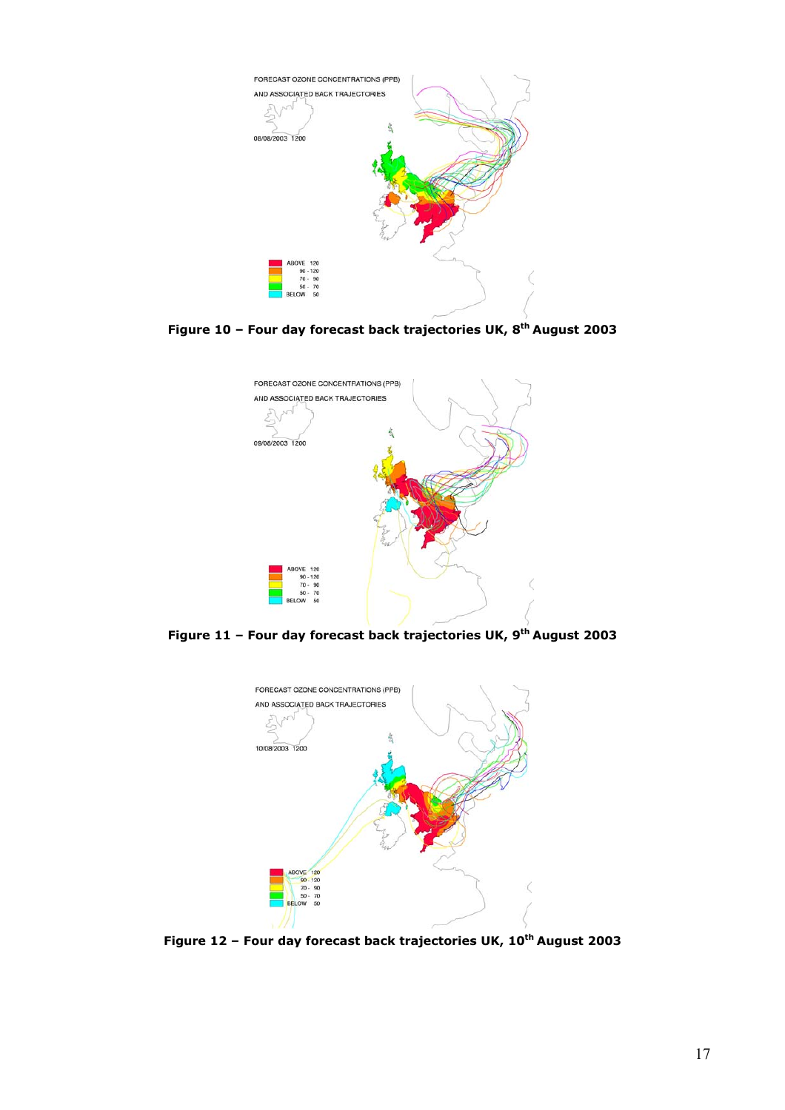

**Figure 10 – Four day forecast back trajectories UK, 8th August 2003**



**Figure 11 – Four day forecast back trajectories UK, 9th August 2003**



Figure 12 - Four day forecast back trajectories UK, 10<sup>th</sup> August 2003